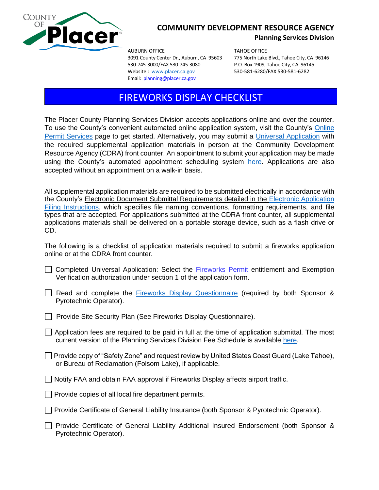

## **COMMUNITY DEVELOPMENT RESOURCE AGENCY**

**Planning Services Division**

AUBURN OFFICE TAHOE OFFICE 530-745-3000/FAX 530-745-3080 P.O. Box 1909, Tahoe City, CA 96145 Website: [www.placer.ca.gov](http://www.placer.ca.gov/) 530-581-6280/FAX 530-581-6282 Email: [planning@placer.ca.gov](mailto:planning@placer.ca.gov) 

3091 County Center Dr., Auburn, CA 95603 775 North Lake Blvd., Tahoe City, CA 96146

## FIREWORKS DISPLAY CHECKLIST

The Placer County Planning Services Division accepts applications online and over the counter. To use the County's convenient automated online application system, visit the County's [Online](https://permits.placer.ca.gov/CitizenAccess/)  [Permit Services](https://permits.placer.ca.gov/CitizenAccess/) page to get started. Alternatively, you may submit a [Universal Application](https://www.placer.ca.gov/2870/Application-Fees-Forms) with the required supplemental application materials in person at the Community Development Resource Agency (CDRA) front counter. An appointment to submit your application may be made using the County's automated appointment scheduling system [here.](https://kiosk.na1.qless.com/kiosk/app/home/10000000169) Applications are also accepted without an appointment on a walk-in basis.

All supplemental application materials are required to be submitted electrically in accordance with the County's Electronic Document Submittal Requirements detailed in the [Electronic Application](https://www.placer.ca.gov/2870/Application-Fees-Forms)  [Filing Instructions,](https://www.placer.ca.gov/2870/Application-Fees-Forms) which specifies file naming conventions, formatting requirements, and file types that are accepted. For applications submitted at the CDRA front counter, all supplemental applications materials shall be delivered on a portable storage device, such as a flash drive or CD.

The following is a checklist of application materials required to submit a fireworks application online or at the CDRA front counter.

- Completed Universal Application: Select the Fireworks Permit entitlement and Exemption Verification authorization under section 1 of the application form.
- Read and complete the [Fireworks Display Questionnaire](https://www.placer.ca.gov/DocumentCenter/View/60330/Fireworks-Questionnaire) (required by both Sponsor & Pyrotechnic Operator).
- **Provide Site Security Plan (See Fireworks Display Questionnaire).**
- $\Box$  Application fees are required to be paid in full at the time of application submittal. The most current version of the Planning Services Division Fee Schedule is available [here.](https://www.placer.ca.gov/2870/Application-Fees-Forms)
- $\Box$  Provide copy of "Safety Zone" and request review by United States Coast Guard (Lake Tahoe), or Bureau of Reclamation (Folsom Lake), if applicable.
- $\Box$  Notify FAA and obtain FAA approval if Fireworks Display affects airport traffic.
- $\Box$  Provide copies of all local fire department permits.
- Provide Certificate of General Liability Insurance (both Sponsor & Pyrotechnic Operator).
- Provide Certificate of General Liability Additional Insured Endorsement (both Sponsor & Pyrotechnic Operator).